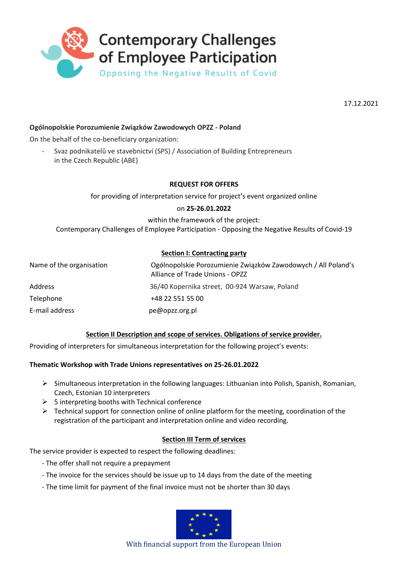

17.12.2021

# **Ogólnopolskie Porozumienie Związków Zawodowych OPZZ - Poland**

On the behalf of the co-beneficiary organization:

- Svaz podnikatelů ve stavebnictví (SPS) / Association of Building Entrepreneurs in the Czech Republic (ABE)

## **REQUEST FOR OFFERS**

for providing of interpretation service for project's event organized online

### on **25-26.01.2022**

within the framework of the project:

Contemporary Challenges of Employee Participation - Opposing the Negative Results of Covid-19

## **Section I: Contracting party**

| Name of the organisation | Ogólnopolskie Porozumienie Związków Zawodowych / All Poland's<br>Alliance of Trade Unions - OPZZ |
|--------------------------|--------------------------------------------------------------------------------------------------|
| Address                  | 36/40 Kopernika street, 00-924 Warsaw, Poland                                                    |
| Telephone                | +48 22 551 55 00                                                                                 |
| E-mail address           | pe@opzz.org.pl                                                                                   |

### **Section II Description and scope of services. Obligations of service provider.**

Providing of interpreters for simultaneous interpretation for the following project's events:

### **Thematic Workshop with Trade Unions representatives on 25-26.01.2022**

- $\triangleright$  Simultaneous interpretation in the following languages: Lithuanian into Polish, Spanish, Romanian, Czech, Estonian 10 interpreters
- $\geq$  5 interpreting booths with Technical conference
- $\triangleright$  Technical support for connection online of online platform for the meeting, coordination of the registration of the participant and interpretation online and video recording.

## **Section III Term of services**

The service provider is expected to respect the following deadlines:

- The offer shall not require a prepayment
- The invoice for the services should be issue up to 14 days from the date of the meeting
- The time limit for payment of the final invoice must not be shorter than 30 days



With financial support from the European Union